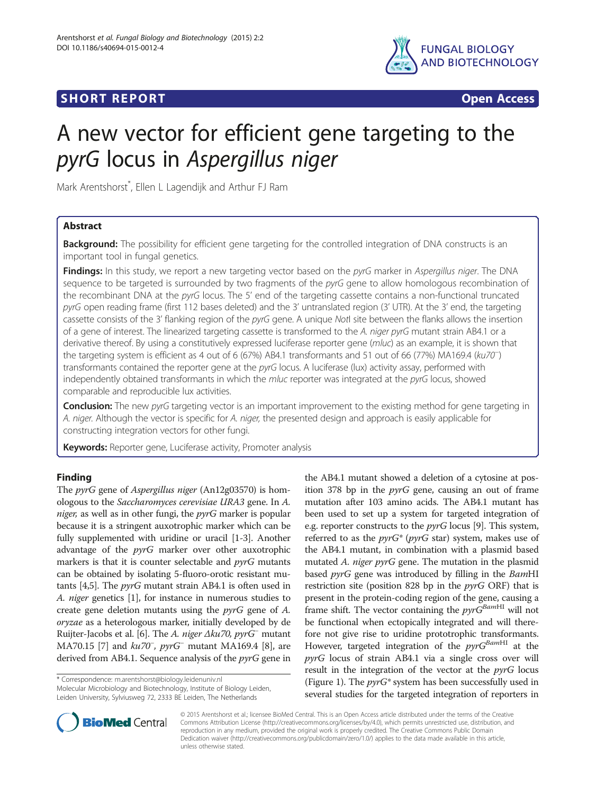# **SHORT REPORT SHORT CONSUMING THE CONSUMING THE CONSUMING THE CONSUMING THE CONSUMING THE CONSUMING THE CONSUMING THE CONSUMING THE CONSUMING THE CONSUMING THE CONSUMING THE CONSUMING THE CONSUMING THE CONSUMING THE CO**



# A new vector for efficient gene targeting to the pyrG locus in Aspergillus niger

Mark Arentshorst\* , Ellen L Lagendijk and Arthur FJ Ram

# Abstract

**Background:** The possibility for efficient gene targeting for the controlled integration of DNA constructs is an important tool in fungal genetics.

Findings: In this study, we report a new targeting vector based on the pyrG marker in Aspergillus niger. The DNA sequence to be targeted is surrounded by two fragments of the pyrG gene to allow homologous recombination of the recombinant DNA at the pyrG locus. The 5' end of the targeting cassette contains a non-functional truncated pyrG open reading frame (first 112 bases deleted) and the 3' untranslated region (3' UTR). At the 3' end, the targeting cassette consists of the 3' flanking region of the pyrG gene. A unique Notl site between the flanks allows the insertion of a gene of interest. The linearized targeting cassette is transformed to the A. niger pyrG mutant strain AB4.1 or a derivative thereof. By using a constitutively expressed luciferase reporter gene (mluc) as an example, it is shown that the targeting system is efficient as 4 out of 6 (67%) AB4.1 transformants and 51 out of 66 (77%) MA169.4 (ku70<sup>−</sup> ) transformants contained the reporter gene at the pyrG locus. A luciferase (lux) activity assay, performed with independently obtained transformants in which the mluc reporter was integrated at the pyrG locus, showed comparable and reproducible lux activities.

Conclusion: The new pyrG targeting vector is an important improvement to the existing method for gene targeting in A. niger. Although the vector is specific for A. niger, the presented design and approach is easily applicable for constructing integration vectors for other fungi.

Keywords: Reporter gene, Luciferase activity, Promoter analysis

## Finding

The pyrG gene of Aspergillus niger (An12g03570) is homologous to the Saccharomyces cerevisiae URA3 gene. In A. *niger*, as well as in other fungi, the  $pyrG$  marker is popular because it is a stringent auxotrophic marker which can be fully supplemented with uridine or uracil [[1-3\]](#page-4-0). Another advantage of the pyrG marker over other auxotrophic markers is that it is counter selectable and  $pyrG$  mutants can be obtained by isolating 5-fluoro-orotic resistant mutants [\[4,5](#page-4-0)]. The pyrG mutant strain AB4.1 is often used in A. niger genetics [[1](#page-4-0)], for instance in numerous studies to create gene deletion mutants using the pyrG gene of A. oryzae as a heterologous marker, initially developed by de Ruijter-Jacobs et al. [[6](#page-4-0)]. The A. niger  $\Delta k u 70$ , pyr $G^-$  mutant MA70.15 [[7\]](#page-4-0) and *ku70<sup>-</sup>*, *pyrG*<sup>-</sup> mutant MA169.4 [[8](#page-4-0)], are derived from AB4.1. Sequence analysis of the *pyrG* gene in

\* Correspondence: [m.arentshorst@biology.leidenuniv.nl](mailto:m.arentshorst@biology.leidenuniv.nl)

Molecular Microbiology and Biotechnology, Institute of Biology Leiden, Leiden University, Sylviusweg 72, 2333 BE Leiden, The Netherlands





© 2015 Arentshorst et al.; licensee BioMed Central. This is an Open Access article distributed under the terms of the Creative Commons Attribution License [\(http://creativecommons.org/licenses/by/4.0\)](http://creativecommons.org/licenses/by/4.0), which permits unrestricted use, distribution, and reproduction in any medium, provided the original work is properly credited. The Creative Commons Public Domain Dedication waiver [\(http://creativecommons.org/publicdomain/zero/1.0/](http://creativecommons.org/publicdomain/zero/1.0/)) applies to the data made available in this article, unless otherwise stated.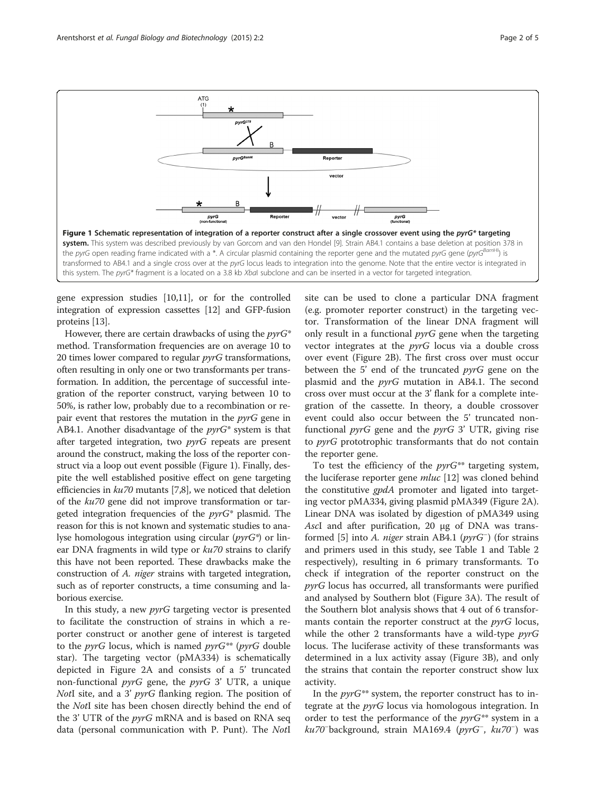<span id="page-1-0"></span>

gene expression studies [\[10,11\]](#page-4-0), or for the controlled integration of expression cassettes [[12](#page-4-0)] and GFP-fusion proteins [\[13\]](#page-4-0).

However, there are certain drawbacks of using the  $pvrG^*$ method. Transformation frequencies are on average 10 to 20 times lower compared to regular *pyrG* transformations, often resulting in only one or two transformants per transformation. In addition, the percentage of successful integration of the reporter construct, varying between 10 to 50%, is rather low, probably due to a recombination or repair event that restores the mutation in the pyrG gene in AB4.1. Another disadvantage of the  $pyrG^*$  system is that after targeted integration, two *pyrG* repeats are present around the construct, making the loss of the reporter construct via a loop out event possible (Figure 1). Finally, despite the well established positive effect on gene targeting efficiencies in ku70 mutants [\[7,8\]](#page-4-0), we noticed that deletion of the ku70 gene did not improve transformation or targeted integration frequencies of the  $pyrG^*$  plasmid. The reason for this is not known and systematic studies to analyse homologous integration using circular ( $pyrG^*$ ) or linear DNA fragments in wild type or  $ku70$  strains to clarify this have not been reported. These drawbacks make the construction of A. niger strains with targeted integration, such as of reporter constructs, a time consuming and laborious exercise.

In this study, a new pyrG targeting vector is presented to facilitate the construction of strains in which a reporter construct or another gene of interest is targeted to the  $pyrG$  locus, which is named  $pyrG^{**}$  ( $pyrG$  double star). The targeting vector (pMA334) is schematically depicted in Figure [2A](#page-2-0) and consists of a 5' truncated non-functional  $pyrG$  gene, the  $pyrG$  3' UTR, a unique NotI site, and a 3' *pyrG* flanking region. The position of the NotI site has been chosen directly behind the end of the 3' UTR of the *pyrG* mRNA and is based on RNA seq data (personal communication with P. Punt). The NotI

site can be used to clone a particular DNA fragment (e.g. promoter reporter construct) in the targeting vector. Transformation of the linear DNA fragment will only result in a functional  $pyrG$  gene when the targeting vector integrates at the  $pyrG$  locus via a double cross over event (Figure [2B](#page-2-0)). The first cross over must occur between the 5' end of the truncated  $pyrG$  gene on the plasmid and the  $pyrG$  mutation in AB4.1. The second cross over must occur at the 3' flank for a complete integration of the cassette. In theory, a double crossover event could also occur between the 5' truncated nonfunctional  $pyrG$  gene and the  $pyrG$  3' UTR, giving rise to pyrG prototrophic transformants that do not contain the reporter gene.

To test the efficiency of the  $pyrG^{**}$  targeting system, the luciferase reporter gene *mluc* [\[12](#page-4-0)] was cloned behind the constitutive *gpdA* promoter and ligated into targeting vector pMA334, giving plasmid pMA349 (Figure [2](#page-2-0)A). Linear DNA was isolated by digestion of pMA349 using AscI and after purification, 20 μg of DNA was transformed [\[5](#page-4-0)] into A. niger strain AB4.1 (pyrG<sup>−</sup> ) (for strains and primers used in this study, see Table [1](#page-2-0) and Table [2](#page-2-0) respectively), resulting in 6 primary transformants. To check if integration of the reporter construct on the pyrG locus has occurred, all transformants were purified and analysed by Southern blot (Figure [3A](#page-3-0)). The result of the Southern blot analysis shows that 4 out of 6 transformants contain the reporter construct at the *pyrG* locus, while the other 2 transformants have a wild-type  $pyrG$ locus. The luciferase activity of these transformants was determined in a lux activity assay (Figure [3](#page-3-0)B), and only the strains that contain the reporter construct show lux activity.

In the  $pyrG^{**}$  system, the reporter construct has to integrate at the pyrG locus via homologous integration. In order to test the performance of the  $pyrG^{**}$  system in a ku70<sup>-</sup>background, strain MA169.4 (pyrG<sup>-</sup>, ku70<sup>-</sup>) was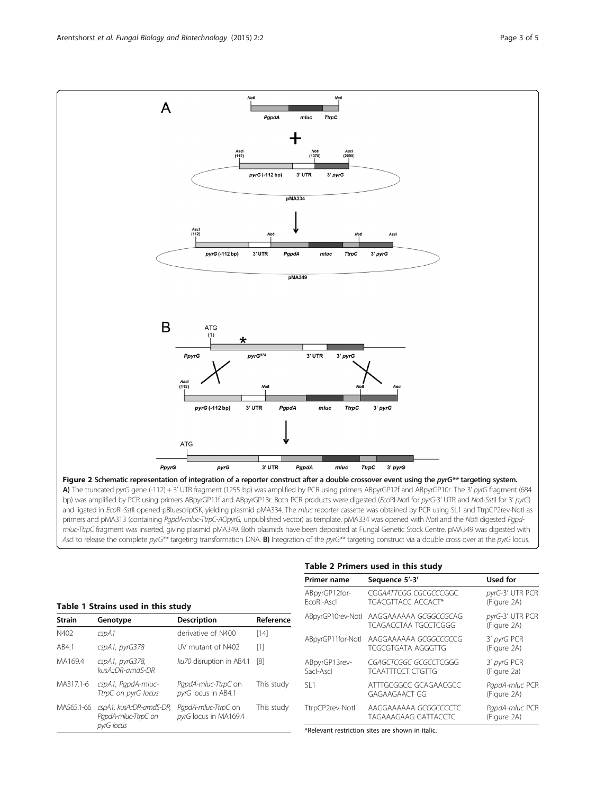<span id="page-2-0"></span>

and ligated in EcoRI-SstII opened pBluescriptSK, yielding plasmid pMA334. The mluc reporter cassette was obtained by PCR using SL1 and TtrpCP2rev-NotI as primers and pMA313 (containing PgpdA-mluc-TtrpC-AOpyrG, unpublished vector) as template. pMA334 was opened with NotI and the NotI digested Pgpdmluc-TtrpC fragment was inserted, giving plasmid pMA349. Both plasmids have been deposited at Fungal Genetic Stock Centre. pMA349 was digested with AscI to release the complete pyrG\*\* targeting transformation DNA. B) Integration of the pyrG\*\* targeting construct via a double cross over at the pyrG locus.

|               |                                                 |                                              |            | <b>Primer name</b>          |
|---------------|-------------------------------------------------|----------------------------------------------|------------|-----------------------------|
|               | Table 1 Strains used in this study              |                                              |            | ABpyrGP12for-<br>FcoRI-Ascl |
| <b>Strain</b> | Genotype                                        | <b>Description</b>                           | Reference  | ABpyrGP10rev-Notl           |
| N402          | cspA1                                           | derivative of N400                           | [14]       | ABpyrGP11for-Notl           |
| AB4.1         | $CspA1$ , $pyrG378$                             | UV mutant of N402                            | [1]        |                             |
| MA169.4       | cspA1, pyrG378,<br>$kusA:DR-amdS-DR$            | ku70 disruption in AB4.1                     | [8]        | ABpyrGP13rev-<br>Sacl-Ascl  |
| MA317.1-6     | cspA1, PapdA-mluc-<br>TtrpC on pyrG locus       | PapdA-mluc-TtrpC on<br>pyrG locus in AB4.1   | This study | SI1                         |
| MA565.1-66    | cspA1, kusA::DR-amdS-DR,<br>PapdA-mluc-TtrpC on | PapdA-mluc-TtrpC on<br>pyrG locus in MA169.4 | This study | TtrpCP2rev-Notl             |
|               | pyrG locus                                      |                                              |            | *Relevant restriction       |

#### Table 2 Primers used in this study

| <b>Primer name</b>          | Sequence 5'-3'                                    | Used for                       |
|-----------------------------|---------------------------------------------------|--------------------------------|
| ABpyrGP12for-<br>FcoRI-Ascl | CGGAATTCGG CGCGCCCGGC<br>TGACGTTACC ACCACT*       | pyrG-3' UTR PCR<br>(Figure 2A) |
| ABpyrGP10rev-Notl           | AAGGAAAAAA GCGGCCGCAG<br>TCAGACCTAA TGCCTCGGG     | pyrG-3' UTR PCR<br>(Figure 2A) |
| ABpyrGP11for-Notl           | AAGGAAAAAA GCGGCCGCCG<br>TCGCGTGATA AGGGTTG       | 3' pyrG PCR<br>(Figure 2A)     |
| ABpyrGP13rev-<br>Sacl-Ascl  | CGAGCTCGGC GCGCCTCGGG<br><b>TCAATTTCCT CTGTTG</b> | 3' pyrG PCR<br>(Figure 2a)     |
| SI1                         | ATTTGCGGCC GCAGAACGCC<br>GAGAAGAACT GG            | PapdA-mluc PCR<br>(Figure 2A)  |
| TtrpCP2rev-Notl             | AAGGAAAAAA GCGGCCGCTC<br>TAGAAAGAAG GATTACCTC     | PapdA-mluc PCR<br>(Figure 2A)  |

n sites are shown in italic.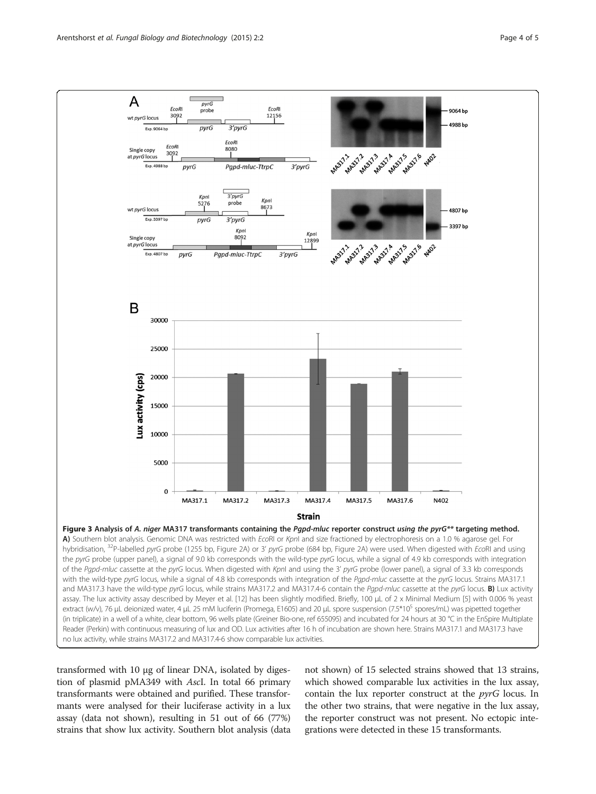<span id="page-3-0"></span>

transformed with 10 μg of linear DNA, isolated by digestion of plasmid pMA349 with AscI. In total 66 primary transformants were obtained and purified. These transformants were analysed for their luciferase activity in a lux assay (data not shown), resulting in 51 out of 66 (77%) strains that show lux activity. Southern blot analysis (data

not shown) of 15 selected strains showed that 13 strains, which showed comparable lux activities in the lux assay, contain the lux reporter construct at the  $pyrG$  locus. In the other two strains, that were negative in the lux assay, the reporter construct was not present. No ectopic integrations were detected in these 15 transformants.